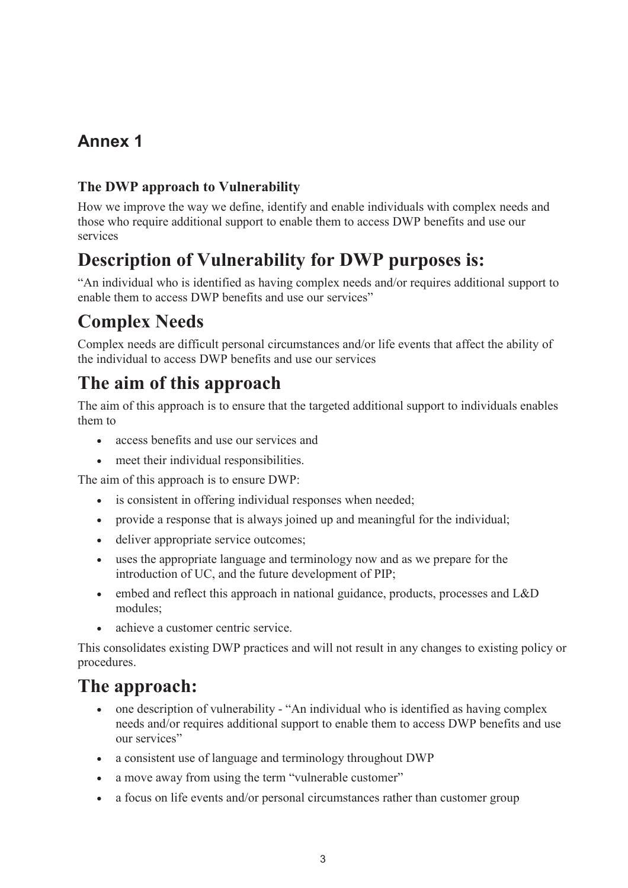## **Annex 1**

### **The DWP approach to Vulnerability**

How we improve the way we define, identify and enable individuals with complex needs and those who require additional support to enable them to access DWP benefits and use our services

## **Description of Vulnerability for DWP purposes is:**

"An individual who is identified as having complex needs and/or requires additional support to enable them to access DWP benefits and use our services"

## **Complex Needs**

Complex needs are difficult personal circumstances and/or life events that affect the ability of the individual to access DWP benefits and use our services

## **The aim of this approach**

The aim of this approach is to ensure that the targeted additional support to individuals enables them to

- · access benefits and use our services and
- meet their individual responsibilities.

The aim of this approach is to ensure DWP:

- is consistent in offering individual responses when needed;
- · provide a response that is always joined up and meaningful for the individual;
- deliver appropriate service outcomes;
- · uses the appropriate language and terminology now and as we prepare for the introduction of UC, and the future development of PIP;
- embed and reflect this approach in national guidance, products, processes and L&D modules;
- achieve a customer centric service.

This consolidates existing DWP practices and will not result in any changes to existing policy or procedures.

## **The approach:**

- one description of vulnerability "An individual who is identified as having complex needs and/or requires additional support to enable them to access DWP benefits and use our services"
- a consistent use of language and terminology throughout DWP
- a move away from using the term "vulnerable customer"
- a focus on life events and/or personal circumstances rather than customer group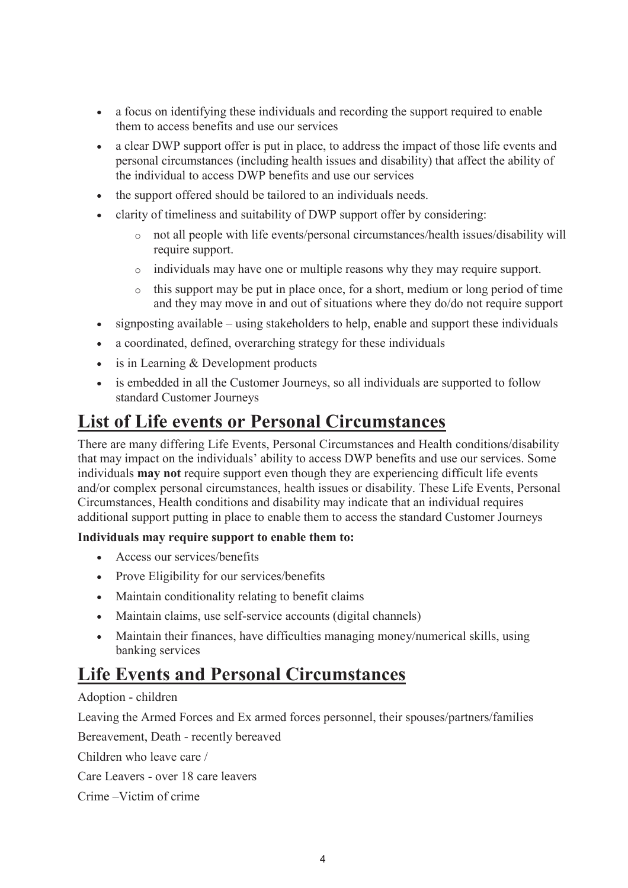- · a focus on identifying these individuals and recording the support required to enable them to access benefits and use our services
- · a clear DWP support offer is put in place, to address the impact of those life events and personal circumstances (including health issues and disability) that affect the ability of the individual to access DWP benefits and use our services
- · the support offered should be tailored to an individuals needs.
- clarity of timeliness and suitability of DWP support offer by considering:
	- o not all people with life events/personal circumstances/health issues/disability will require support.
	- o individuals may have one or multiple reasons why they may require support.
	- o this support may be put in place once, for a short, medium or long period of time and they may move in and out of situations where they do/do not require support
- signposting available using stakeholders to help, enable and support these individuals
- a coordinated, defined, overarching strategy for these individuals
- is in Learning & Development products
- is embedded in all the Customer Journeys, so all individuals are supported to follow standard Customer Journeys

### **List of Life events or Personal Circumstances**

There are many differing Life Events, Personal Circumstances and Health conditions/disability that may impact on the individuals' ability to access DWP benefits and use our services. Some individuals **may not** require support even though they are experiencing difficult life events and/or complex personal circumstances, health issues or disability. These Life Events, Personal Circumstances, Health conditions and disability may indicate that an individual requires additional support putting in place to enable them to access the standard Customer Journeys

#### **Individuals may require support to enable them to:**

- · Access our services/benefits
- Prove Eligibility for our services/benefits
- · Maintain conditionality relating to benefit claims
- · Maintain claims, use self-service accounts (digital channels)
- · Maintain their finances, have difficulties managing money/numerical skills, using banking services

### **Life Events and Personal Circumstances**

#### Adoption - children

Leaving the Armed Forces and Ex armed forces personnel, their spouses/partners/families

Bereavement, Death - recently bereaved

Children who leave care /

Care Leavers - over 18 care leavers

Crime –Victim of crime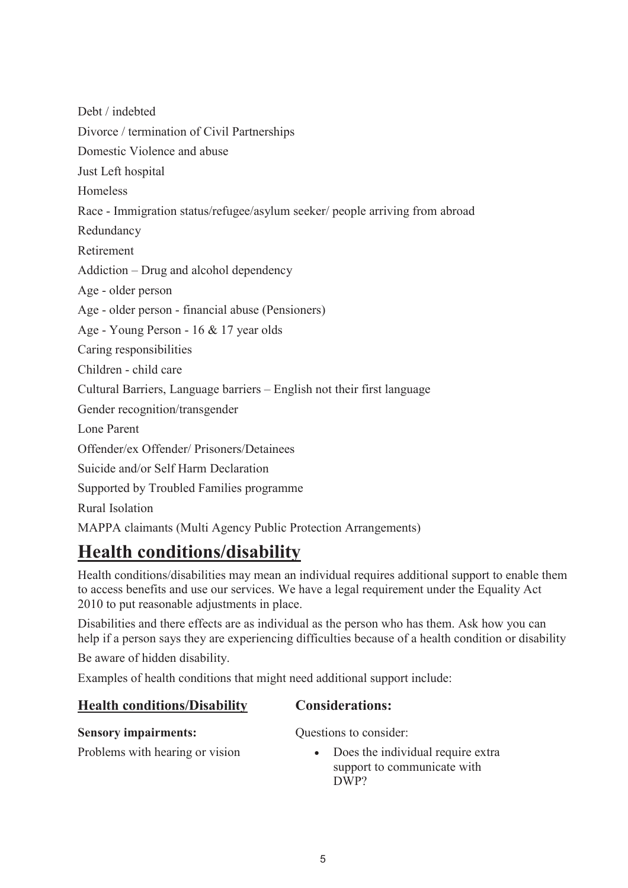Debt / indebted Divorce / termination of Civil Partnerships Domestic Violence and abuse Just Left hospital Homeless Race - Immigration status/refugee/asylum seeker/ people arriving from abroad Redundancy Retirement Addiction – Drug and alcohol dependency Age - older person Age - older person - financial abuse (Pensioners) Age - Young Person - 16 & 17 year olds Caring responsibilities Children - child care Cultural Barriers, Language barriers – English not their first language Gender recognition/transgender Lone Parent Offender/ex Offender/ Prisoners/Detainees Suicide and/or Self Harm Declaration Supported by Troubled Families programme Rural Isolation MAPPA claimants (Multi Agency Public Protection Arrangements)

# **Health conditions/disability**

Health conditions/disabilities may mean an individual requires additional support to enable them to access benefits and use our services. We have a legal requirement under the Equality Act 2010 to put reasonable adjustments in place.

Disabilities and there effects are as individual as the person who has them. Ask how you can help if a person says they are experiencing difficulties because of a health condition or disability

Be aware of hidden disability.

Examples of health conditions that might need additional support include:

| <b>Health conditions/Disability</b> | <b>Considerations:</b> |
|-------------------------------------|------------------------|
| <b>Sensory impairments:</b>         | Questions to consider: |
| $\sim$ $\sim$ $\sim$                |                        |

Problems with hearing or vision

• Does the individual require extra support to communicate with DWP?